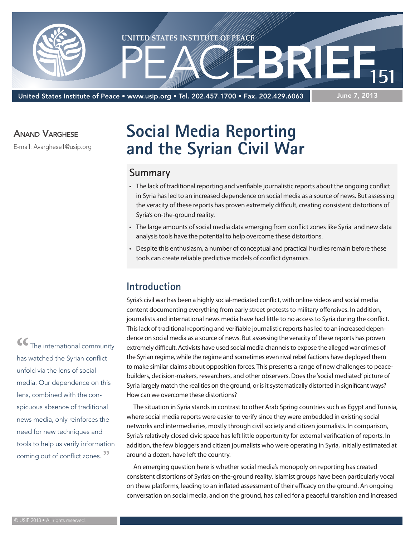

United States Institute of Peace • www.usip.org • Tel. 202.457.1700 • Fax. 202.429.6063

#### June 7, 2013

#### Anand Varghese

E-mail: Avarghese1@usip.org

# **Social Media Reporting and the Syrian Civil War**

## **Summary**

- • The lack of traditional reporting and verifiable journalistic reports about the ongoing conflict in Syria hasled to an increased dependence on social media as a source of news. But assessing the veracity of these reports has proven extremely difficult, creating consistent distortions of Syria's on-the-ground reality.
- The large amounts of social media data emerging from conflict zones like Syria and new data analysis tools have the potential to help overcome these distortions.
- Despite this enthusiasm, a number of conceptual and practical hurdles remain before these tools can create reliable predictive models of conflict dynamics.

### **Introduction**

Syria's civil war has been a highly social-mediated conflict, with online videos and social media content documenting everything from early street protests to military offensives. In addition, journalists and international news media have had little to no access to Syria during the conflict. Thislack of traditional reporting and verifiable journalistic reports hasled to an increased dependence on social media as a source of news. But assessing the veracity of these reports has proven extremely difficult. Activists have used social media channels to expose the alleged war crimes of the Syrian regime, while the regime and sometimes even rival rebel factions have deployed them to make similar claims about opposition forces. This presents a range of new challengesto peacebuilders, decision-makers, researchers, and other observers. Does the 'social mediated' picture of Syria largely match the realities on the ground, or is it systematically distorted in significant ways? How can we overcome these distortions?

The situation in Syria stands in contrast to other Arab Spring countries such as Egypt and Tunisia, where social media reports were easier to verify since they were embedded in existing social networks and intermediaries, mostly through civil society and citizen journalists. In comparison, Syria's relatively closed civic space has left little opportunity for external verification of reports. In addition, the few bloggers and citizen journalists who were operating in Syria, initially estimated at around a dozen, have left the country.

An emerging question here is whether social media's monopoly on reporting has created consistent distortions of Syria's on-the-ground reality. Islamist groups have been particularly vocal on these platforms, leading to an inflated assessment of their efficacy on the ground. An ongoing conversation on social media, and on the ground, has called for a peaceful transition and increased

**"**The international community has watched the Syrian conflict unfold via the lens of social media. Our dependence on this lens, combined with the conspicuous absence of traditional news media, only reinforces the need for new techniques and tools to help us verify information coming out of conflict zones. **"**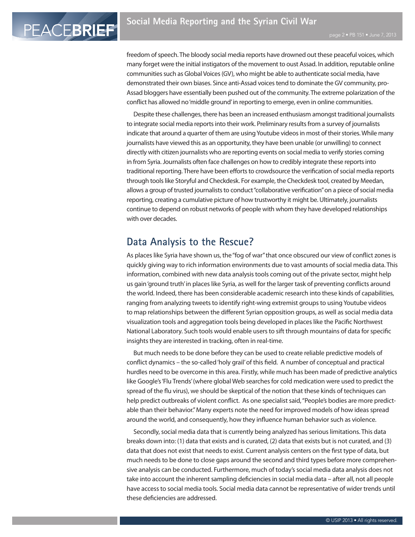PEACEBRIEF

freedom of speech. The bloody social media reports have drowned out these peaceful voices, which many forget were the initial instigators of the movement to oust Assad. In addition, reputable online communities such as Global Voices (GV), who might be able to authenticate social media, have demonstrated their own biases. Since anti-Assad voices tend to dominate the GV community, pro-Assad bloggers have essentially been pushed out of the community. The extreme polarization of the conflict has allowed no'middle ground'in reporting to emerge, even in online communities.

Despite these challenges, there has been an increased enthusiasm amongst traditional journalists to integrate social media reports into their work. Preliminary results from a survey of journalists indicate that around a quarter of them are using Youtube videos in most of their stories. While many journalists have viewed this as an opportunity, they have been unable (or unwilling) to connect directly with citizen journalists who are reporting events on social media to verify stories coming in from Syria. Journalists often face challenges on how to credibly integrate these reports into traditional reporting. There have been efforts to crowdsource the verification of social media reports through toolslike Storyful and Checkdesk. For example, the Checkdesk tool, created by Meedan, allows a group of trusted journalists to conduct "collaborative verification" on a piece of social media reporting, creating a cumulative picture of how trustworthy it might be. Ultimately, journalists continue to depend on robust networks of people with whom they have developed relationships with over decades.

#### **Data Analysis to the Rescue?**

As places like Syria have shown us, the "fog of war" that once obscured our view of conflict zones is quickly giving way to rich information environments due to vast amounts ofsocial media data. This information, combined with new data analysistools coming out of the private sector, might help us gain 'ground truth' in places like Syria, as well for the larger task of preventing conflicts around the world. Indeed, there has been considerable academic research into these kinds of capabilities, ranging from analyzing tweets to identify right-wing extremist groups to using Youtube videos to map relationships between the different Syrian opposition groups, as well as social media data visualization tools and aggregation tools being developed in placeslike the Pacific Northwest National Laboratory. Such tools would enable users to sift through mountains of data for specific insights they are interested in tracking, often in real-time.

But much needs to be done before they can be used to create reliable predictive models of conflict dynamics – the so-called'holy grail'of this field. A number of conceptual and practical hurdles need to be overcome in this area. Firstly, while much has been made of predictive analytics like Google's 'Flu Trends' (where global Web searches for cold medication were used to predict the spread of the flu virus), we should be skeptical of the notion that these kinds of techniques can help predict outbreaks of violent conflict. As one specialist said, "People's bodies are more predictable than their behavior." Many experts note the need for improved models of how ideas spread around the world, and consequently, how they influence human behavior such as violence.

Secondly, social media data that is currently being analyzed has serious limitations. This data breaks down into: (1) data that exists and is curated, (2) data that exists but is not curated, and (3) data that does not exist that needs to exist. Current analysis centers on the first type of data, but much needs to be done to close gaps around the second and third types before more comprehensive analysis can be conducted. Furthermore, much of today's social media data analysis does not take into account the inherent sampling deficiencies in social media data – after all, not all people have accessto social media tools. Social media data cannot be representative of wider trends until these deficiencies are addressed.